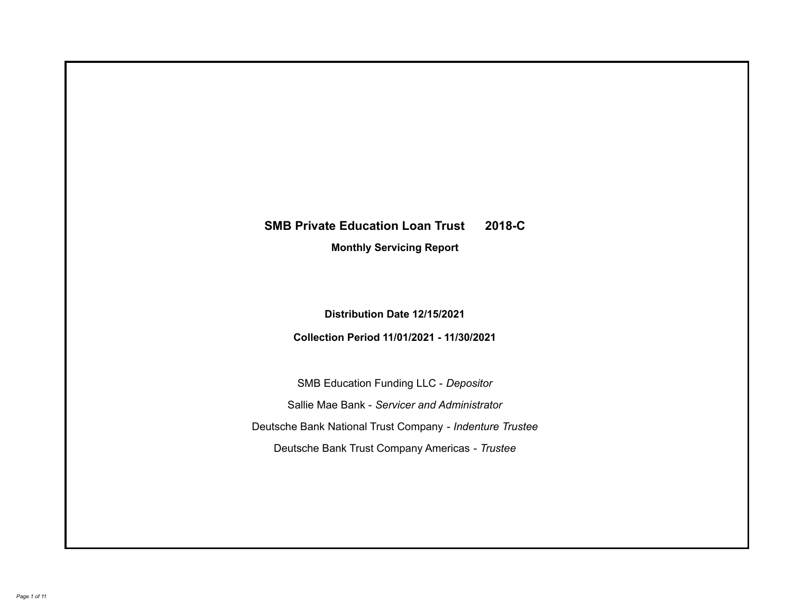# **SMB Private Education Loan Trust 2018-C**

**Monthly Servicing Report**

**Distribution Date 12/15/2021**

**Collection Period 11/01/2021 - 11/30/2021**

SMB Education Funding LLC - *Depositor* Sallie Mae Bank - *Servicer and Administrator* Deutsche Bank National Trust Company - *Indenture Trustee* Deutsche Bank Trust Company Americas - *Trustee*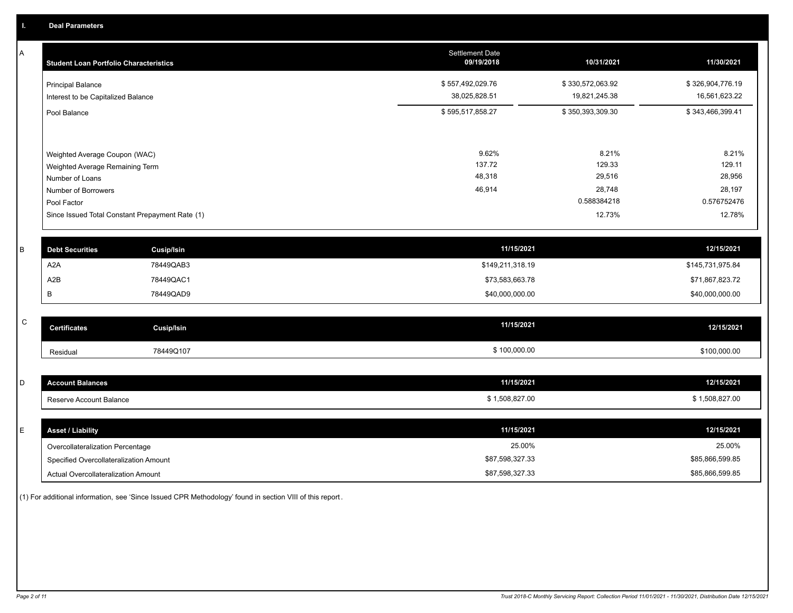A

| A            | <b>Student Loan Portfolio Characteristics</b>   |                   | <b>Settlement Date</b><br>09/19/2018 | 10/31/2021       | 11/30/2021       |
|--------------|-------------------------------------------------|-------------------|--------------------------------------|------------------|------------------|
|              | <b>Principal Balance</b>                        |                   | \$557,492,029.76                     | \$330,572,063.92 | \$326,904,776.19 |
|              | Interest to be Capitalized Balance              |                   | 38,025,828.51                        | 19,821,245.38    | 16,561,623.22    |
|              | Pool Balance                                    |                   | \$595,517,858.27                     | \$350,393,309.30 | \$343,466,399.41 |
|              |                                                 |                   |                                      |                  |                  |
|              | Weighted Average Coupon (WAC)                   |                   | 9.62%                                | 8.21%            | 8.21%            |
|              | Weighted Average Remaining Term                 |                   | 137.72                               | 129.33           | 129.11           |
|              | Number of Loans                                 |                   | 48,318                               | 29,516           | 28,956           |
|              | Number of Borrowers                             |                   | 46,914                               | 28,748           | 28,197           |
|              | Pool Factor                                     |                   |                                      | 0.588384218      | 0.576752476      |
|              | Since Issued Total Constant Prepayment Rate (1) |                   |                                      | 12.73%           | 12.78%           |
|              |                                                 |                   |                                      |                  |                  |
| B            | <b>Debt Securities</b>                          | <b>Cusip/Isin</b> | 11/15/2021                           |                  | 12/15/2021       |
|              | A <sub>2</sub> A                                | 78449QAB3         | \$149,211,318.19                     |                  | \$145,731,975.84 |
|              | A <sub>2</sub> B                                | 78449QAC1         | \$73,583,663.78                      |                  | \$71,867,823.72  |
|              | В                                               | 78449QAD9         | \$40,000,000.00                      |                  | \$40,000,000.00  |
|              |                                                 |                   |                                      |                  |                  |
| $\mathsf{C}$ | <b>Certificates</b>                             | <b>Cusip/Isin</b> | 11/15/2021                           |                  | 12/15/2021       |
|              | Residual                                        | 78449Q107         | \$100,000.00                         |                  | \$100,000.00     |
|              |                                                 |                   |                                      |                  |                  |
| D            | <b>Account Balances</b>                         |                   | 11/15/2021                           |                  | 12/15/2021       |
|              | Reserve Account Balance                         |                   | \$1,508,827.00                       |                  | \$1,508,827.00   |
|              |                                                 |                   |                                      |                  |                  |
| E            | <b>Asset / Liability</b>                        |                   | 11/15/2021                           |                  | 12/15/2021       |
|              | Overcollateralization Percentage                |                   | 25.00%                               |                  | 25.00%           |

Actual Overcollateralization Amount \$87,598,327.33 Specified Overcollateralization Amount

(1) For additional information, see 'Since Issued CPR Methodology' found in section VIII of this report .

\$85,866,599.85 \$85,866,599.85

\$87,598,327.33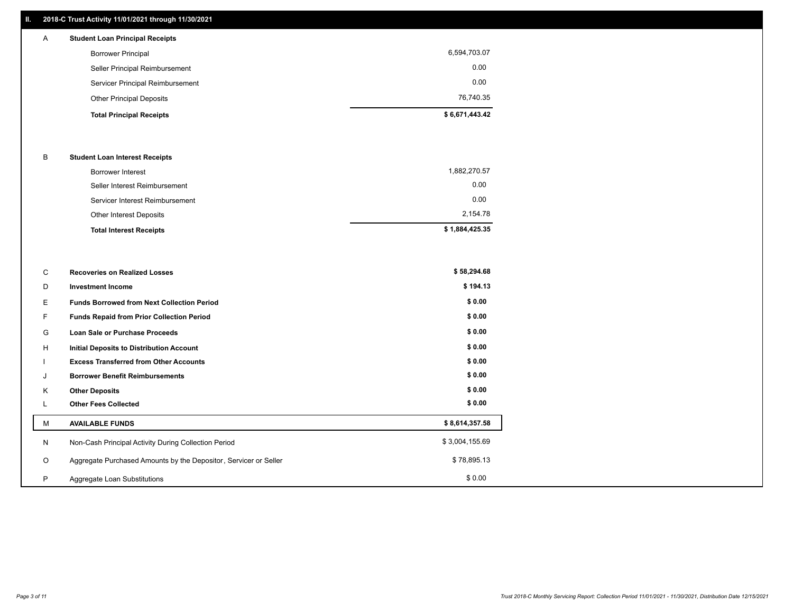# **II. 2018-C Trust Activity 11/01/2021 through 11/30/2021**

# **Total Principal Receipts \$ 6,671,443.42**  Other Principal Deposits 76,740.35 Servicer Principal Reimbursement 0.00 Seller Principal Reimbursement 0.00 Borrower Principal 6,594,703.07 A **Student Loan Principal Receipts**

### B **Student Loan Interest Receipts**

| <b>Total Interest Receipts</b>  | \$1,884,425.35 |
|---------------------------------|----------------|
| Other Interest Deposits         | 2,154.78       |
| Servicer Interest Reimbursement | 0.00           |
| Seller Interest Reimbursement   | 0.00           |
| Borrower Interest               | 1,882,270.57   |

| C       | <b>Recoveries on Realized Losses</b>                             | \$58,294.68    |
|---------|------------------------------------------------------------------|----------------|
| D       | <b>Investment Income</b>                                         | \$194.13       |
| Е.      | <b>Funds Borrowed from Next Collection Period</b>                | \$0.00         |
| F.      | Funds Repaid from Prior Collection Period                        | \$0.00         |
| G       | Loan Sale or Purchase Proceeds                                   | \$0.00         |
| H       | Initial Deposits to Distribution Account                         | \$0.00         |
|         | <b>Excess Transferred from Other Accounts</b>                    | \$0.00         |
| J       | <b>Borrower Benefit Reimbursements</b>                           | \$0.00         |
| K       | <b>Other Deposits</b>                                            | \$0.00         |
|         | <b>Other Fees Collected</b>                                      | \$0.00         |
| М       | <b>AVAILABLE FUNDS</b>                                           | \$8,614,357.58 |
| N       | Non-Cash Principal Activity During Collection Period             | \$3,004,155.69 |
| $\circ$ | Aggregate Purchased Amounts by the Depositor, Servicer or Seller | \$78,895.13    |
| P       | Aggregate Loan Substitutions                                     | \$0.00         |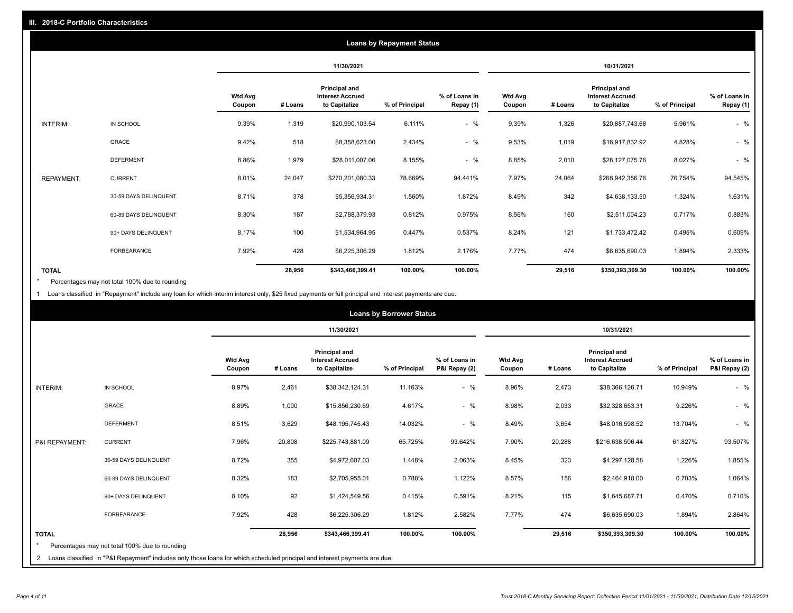|                   |                       |                          | <b>Loans by Repayment Status</b> |                                                           |                |                            |                          |         |                                                           |                |                            |
|-------------------|-----------------------|--------------------------|----------------------------------|-----------------------------------------------------------|----------------|----------------------------|--------------------------|---------|-----------------------------------------------------------|----------------|----------------------------|
|                   |                       |                          | 11/30/2021                       |                                                           |                |                            | 10/31/2021               |         |                                                           |                |                            |
|                   |                       | <b>Wtd Avg</b><br>Coupon | # Loans                          | Principal and<br><b>Interest Accrued</b><br>to Capitalize | % of Principal | % of Loans in<br>Repay (1) | <b>Wtd Avg</b><br>Coupon | # Loans | Principal and<br><b>Interest Accrued</b><br>to Capitalize | % of Principal | % of Loans in<br>Repay (1) |
| INTERIM:          | IN SCHOOL             | 9.39%                    | 1,319                            | \$20,990,103.54                                           | 6.111%         | $-$ %                      | 9.39%                    | 1,326   | \$20,887,743.68                                           | 5.961%         | $-$ %                      |
|                   | GRACE                 | 9.42%                    | 518                              | \$8,358,623.00                                            | 2.434%         | $-$ %                      | 9.53%                    | 1,019   | \$16,917,832.92                                           | 4.828%         | $-$ %                      |
|                   | <b>DEFERMENT</b>      | 8.86%                    | 1,979                            | \$28,011,007.06                                           | 8.155%         | $-$ %                      | 8.85%                    | 2,010   | \$28,127,075.76                                           | 8.027%         | $-$ %                      |
| <b>REPAYMENT:</b> | <b>CURRENT</b>        | 8.01%                    | 24,047                           | \$270,201,080.33                                          | 78.669%        | 94.441%                    | 7.97%                    | 24,064  | \$268,942,356.76                                          | 76.754%        | 94.545%                    |
|                   | 30-59 DAYS DELINQUENT | 8.71%                    | 378                              | \$5,356,934.31                                            | 1.560%         | 1.872%                     | 8.49%                    | 342     | \$4,638,133.50                                            | 1.324%         | 1.631%                     |
|                   | 60-89 DAYS DELINQUENT | 8.30%                    | 187                              | \$2,788,379.93                                            | 0.812%         | 0.975%                     | 8.56%                    | 160     | \$2,511,004.23                                            | 0.717%         | 0.883%                     |
|                   | 90+ DAYS DELINQUENT   | 8.17%                    | 100                              | \$1,534,964.95                                            | 0.447%         | 0.537%                     | 8.24%                    | 121     | \$1,733,472.42                                            | 0.495%         | 0.609%                     |
|                   | <b>FORBEARANCE</b>    | 7.92%                    | 428                              | \$6,225,306.29                                            | 1.812%         | 2.176%                     | 7.77%                    | 474     | \$6,635,690.03                                            | 1.894%         | 2.333%                     |
| <b>TOTAL</b>      |                       |                          | 28,956                           | \$343,466,399.41                                          | 100.00%        | 100.00%                    |                          | 29,516  | \$350,393,309.30                                          | 100.00%        | 100.00%                    |

Percentages may not total 100% due to rounding \*

1 Loans classified in "Repayment" include any loan for which interim interest only, \$25 fixed payments or full principal and interest payments are due.

| <b>Loans by Borrower Status</b> |                                                                                                                              |                          |            |                                                           |                |                                |                          |         |                                                                  |                |                                |
|---------------------------------|------------------------------------------------------------------------------------------------------------------------------|--------------------------|------------|-----------------------------------------------------------|----------------|--------------------------------|--------------------------|---------|------------------------------------------------------------------|----------------|--------------------------------|
|                                 |                                                                                                                              |                          | 11/30/2021 |                                                           |                | 10/31/2021                     |                          |         |                                                                  |                |                                |
|                                 |                                                                                                                              | <b>Wtd Avg</b><br>Coupon | # Loans    | Principal and<br><b>Interest Accrued</b><br>to Capitalize | % of Principal | % of Loans in<br>P&I Repay (2) | <b>Wtd Avg</b><br>Coupon | # Loans | <b>Principal and</b><br><b>Interest Accrued</b><br>to Capitalize | % of Principal | % of Loans in<br>P&I Repay (2) |
| <b>INTERIM:</b>                 | IN SCHOOL                                                                                                                    | 8.97%                    | 2,461      | \$38,342,124.31                                           | 11.163%        | $-$ %                          | 8.96%                    | 2,473   | \$38,366,126.71                                                  | 10.949%        | $-$ %                          |
|                                 | <b>GRACE</b>                                                                                                                 | 8.89%                    | 1,000      | \$15,856,230.69                                           | 4.617%         | $-$ %                          | 8.98%                    | 2,033   | \$32,328,653.31                                                  | 9.226%         | $-$ %                          |
|                                 | <b>DEFERMENT</b>                                                                                                             | 8.51%                    | 3,629      | \$48,195,745.43                                           | 14.032%        | $-$ %                          | 8.49%                    | 3,654   | \$48,016,598.52                                                  | 13.704%        | $-$ %                          |
| P&I REPAYMENT:                  | <b>CURRENT</b>                                                                                                               | 7.96%                    | 20,808     | \$225,743,881.09                                          | 65.725%        | 93.642%                        | 7.90%                    | 20,288  | \$216,638,506.44                                                 | 61.827%        | 93.507%                        |
|                                 | 30-59 DAYS DELINQUENT                                                                                                        | 8.72%                    | 355        | \$4,972,607.03                                            | 1.448%         | 2.063%                         | 8.45%                    | 323     | \$4,297,128.58                                                   | 1.226%         | 1.855%                         |
|                                 | 60-89 DAYS DELINQUENT                                                                                                        | 8.32%                    | 183        | \$2,705,955.01                                            | 0.788%         | 1.122%                         | 8.57%                    | 156     | \$2,464,918.00                                                   | 0.703%         | 1.064%                         |
|                                 | 90+ DAYS DELINQUENT                                                                                                          | 8.10%                    | 92         | \$1,424,549.56                                            | 0.415%         | 0.591%                         | 8.21%                    | 115     | \$1,645,687.71                                                   | 0.470%         | 0.710%                         |
|                                 | FORBEARANCE                                                                                                                  | 7.92%                    | 428        | \$6,225,306.29                                            | 1.812%         | 2.582%                         | 7.77%                    | 474     | \$6,635,690.03                                                   | 1.894%         | 2.864%                         |
| <b>TOTAL</b>                    | Percentages may not total 100% due to rounding                                                                               |                          | 28,956     | \$343,466,399.41                                          | 100.00%        | 100.00%                        |                          | 29,516  | \$350,393,309.30                                                 | 100.00%        | 100.00%                        |
|                                 | 2 Loans classified in "P&I Repayment" includes only those loans for which scheduled principal and interest payments are due. |                          |            |                                                           |                |                                |                          |         |                                                                  |                |                                |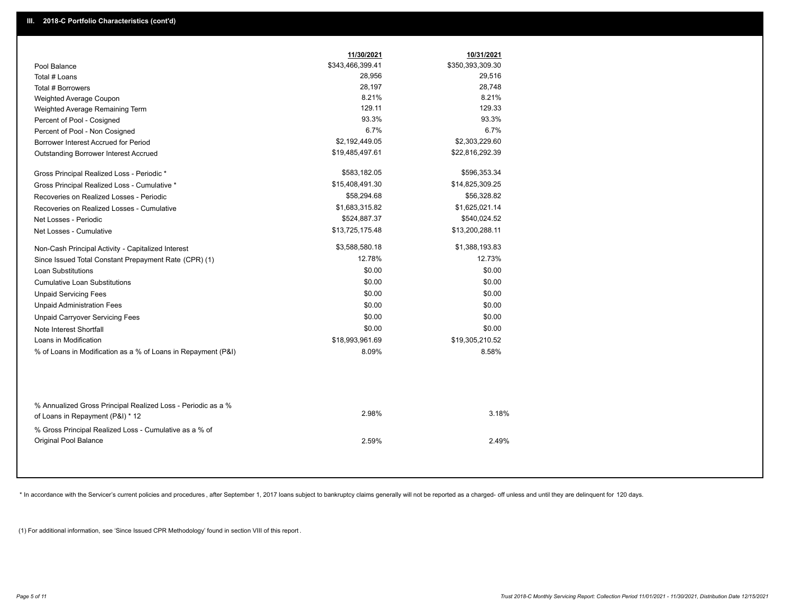|                                                                                                  | 11/30/2021       | 10/31/2021       |
|--------------------------------------------------------------------------------------------------|------------------|------------------|
| Pool Balance                                                                                     | \$343,466,399.41 | \$350,393,309.30 |
| Total # Loans                                                                                    | 28,956           | 29,516           |
| Total # Borrowers                                                                                | 28,197           | 28,748           |
| Weighted Average Coupon                                                                          | 8.21%            | 8.21%            |
| Weighted Average Remaining Term                                                                  | 129.11           | 129.33           |
| Percent of Pool - Cosigned                                                                       | 93.3%            | 93.3%            |
| Percent of Pool - Non Cosigned                                                                   | 6.7%             | 6.7%             |
| Borrower Interest Accrued for Period                                                             | \$2,192,449.05   | \$2,303,229.60   |
| Outstanding Borrower Interest Accrued                                                            | \$19,485,497.61  | \$22,816,292.39  |
| Gross Principal Realized Loss - Periodic *                                                       | \$583,182.05     | \$596,353.34     |
| Gross Principal Realized Loss - Cumulative *                                                     | \$15,408,491.30  | \$14,825,309.25  |
| Recoveries on Realized Losses - Periodic                                                         | \$58,294.68      | \$56,328.82      |
| Recoveries on Realized Losses - Cumulative                                                       | \$1,683,315.82   | \$1,625,021.14   |
| Net Losses - Periodic                                                                            | \$524,887.37     | \$540,024.52     |
| Net Losses - Cumulative                                                                          | \$13,725,175.48  | \$13,200,288.11  |
| Non-Cash Principal Activity - Capitalized Interest                                               | \$3,588,580.18   | \$1,388,193.83   |
| Since Issued Total Constant Prepayment Rate (CPR) (1)                                            | 12.78%           | 12.73%           |
| <b>Loan Substitutions</b>                                                                        | \$0.00           | \$0.00           |
| <b>Cumulative Loan Substitutions</b>                                                             | \$0.00           | \$0.00           |
| <b>Unpaid Servicing Fees</b>                                                                     | \$0.00           | \$0.00           |
| <b>Unpaid Administration Fees</b>                                                                | \$0.00           | \$0.00           |
| <b>Unpaid Carryover Servicing Fees</b>                                                           | \$0.00           | \$0.00           |
| Note Interest Shortfall                                                                          | \$0.00           | \$0.00           |
| Loans in Modification                                                                            | \$18,993,961.69  | \$19,305,210.52  |
| % of Loans in Modification as a % of Loans in Repayment (P&I)                                    | 8.09%            | 8.58%            |
| % Annualized Gross Principal Realized Loss - Periodic as a %<br>of Loans in Repayment (P&I) * 12 | 2.98%            | 3.18%            |
| % Gross Principal Realized Loss - Cumulative as a % of                                           |                  |                  |
| <b>Original Pool Balance</b>                                                                     | 2.59%            | 2.49%            |

\* In accordance with the Servicer's current policies and procedures, after September 1, 2017 loans subject to bankruptcy claims generally will not be reported as a charged- off unless and until they are delinquent for 120

(1) For additional information, see 'Since Issued CPR Methodology' found in section VIII of this report .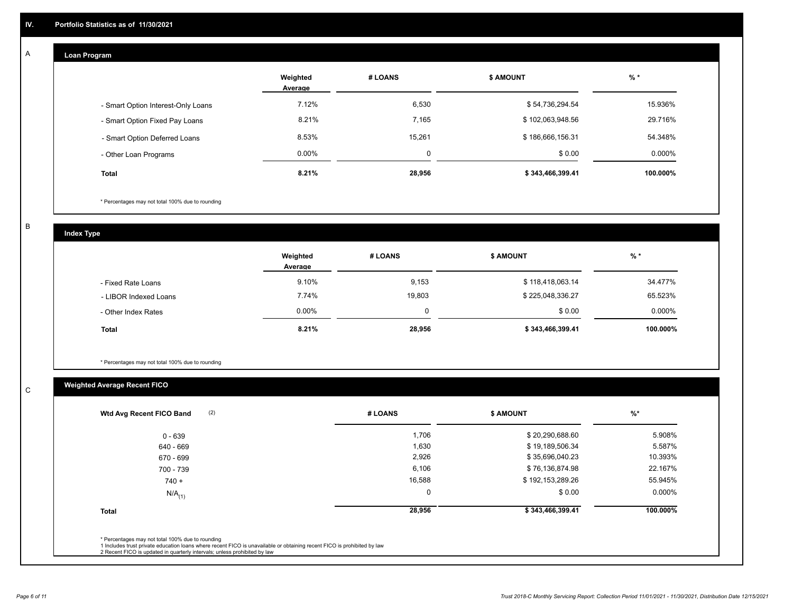#### **Loan Program**  A

|                                    | Weighted<br>Average | # LOANS | <b>\$ AMOUNT</b> | $%$ *    |
|------------------------------------|---------------------|---------|------------------|----------|
| - Smart Option Interest-Only Loans | 7.12%               | 6,530   | \$54,736,294.54  | 15.936%  |
| - Smart Option Fixed Pay Loans     | 8.21%               | 7,165   | \$102,063,948.56 | 29.716%  |
| - Smart Option Deferred Loans      | 8.53%               | 15.261  | \$186,666,156.31 | 54.348%  |
| - Other Loan Programs              | $0.00\%$            | O       | \$0.00           | 0.000%   |
| Total                              | 8.21%               | 28,956  | \$343,466,399.41 | 100.000% |

\* Percentages may not total 100% due to rounding

B

C

**Index Type**

|                       | Weighted<br>Average | # LOANS | <b>\$ AMOUNT</b> | $%$ *     |
|-----------------------|---------------------|---------|------------------|-----------|
| - Fixed Rate Loans    | 9.10%               | 9,153   | \$118,418,063.14 | 34.477%   |
| - LIBOR Indexed Loans | 7.74%               | 19,803  | \$225,048,336.27 | 65.523%   |
| - Other Index Rates   | $0.00\%$            | 0       | \$0.00           | $0.000\%$ |
| <b>Total</b>          | 8.21%               | 28,956  | \$343,466,399.41 | 100.000%  |

\* Percentages may not total 100% due to rounding

# **Weighted Average Recent FICO**

| (2)<br>Wtd Avg Recent FICO Band | # LOANS  | <b>S AMOUNT</b>  | $\frac{9}{6}$ * |
|---------------------------------|----------|------------------|-----------------|
| $0 - 639$                       | 1,706    | \$20,290,688.60  | 5.908%          |
| 640 - 669                       | 1,630    | \$19,189,506.34  | 5.587%          |
| 670 - 699                       | 2,926    | \$35,696,040.23  | 10.393%         |
| 700 - 739                       | 6,106    | \$76,136,874.98  | 22.167%         |
| $740 +$                         | 16,588   | \$192,153,289.26 | 55.945%         |
| $N/A$ <sub>(1)</sub>            | $\Omega$ | \$0.00           | $0.000\%$       |
| <b>Total</b>                    | 28,956   | \$343,466,399.41 | 100.000%        |
|                                 |          |                  |                 |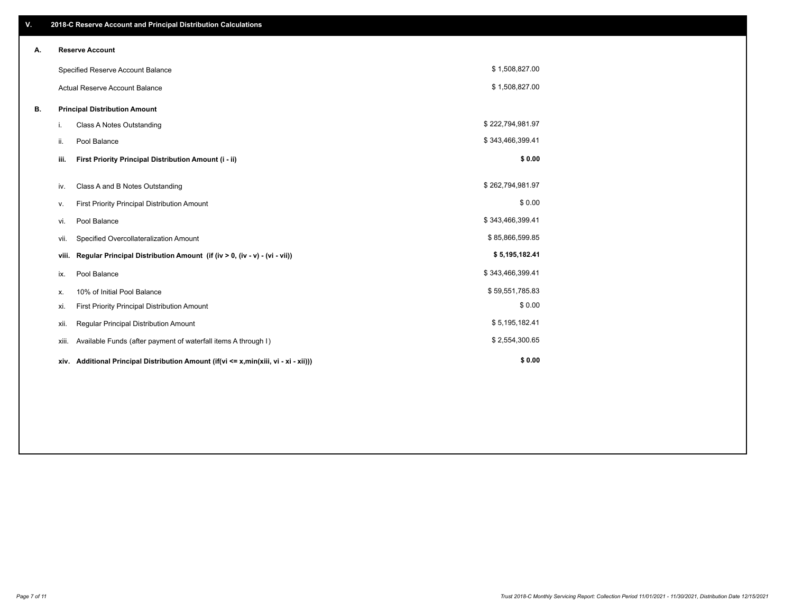| V. |       | 2018-C Reserve Account and Principal Distribution Calculations                  |                  |  |
|----|-------|---------------------------------------------------------------------------------|------------------|--|
| А. |       | <b>Reserve Account</b>                                                          |                  |  |
|    |       | Specified Reserve Account Balance                                               | \$1,508,827.00   |  |
|    |       | <b>Actual Reserve Account Balance</b>                                           | \$1,508,827.00   |  |
| В. |       | <b>Principal Distribution Amount</b>                                            |                  |  |
|    | i.    | Class A Notes Outstanding                                                       | \$222,794,981.97 |  |
|    | ii.   | Pool Balance                                                                    | \$343,466,399.41 |  |
|    | iii.  | First Priority Principal Distribution Amount (i - ii)                           | \$0.00           |  |
|    | iv.   | Class A and B Notes Outstanding                                                 | \$262,794,981.97 |  |
|    | v.    | First Priority Principal Distribution Amount                                    | \$0.00           |  |
|    | vi.   | Pool Balance                                                                    | \$343,466,399.41 |  |
|    | vii.  | Specified Overcollateralization Amount                                          | \$85,866,599.85  |  |
|    | viii. | Regular Principal Distribution Amount (if (iv > 0, (iv - v) - (vi - vii))       | \$5,195,182.41   |  |
|    | ix.   | Pool Balance                                                                    | \$343,466,399.41 |  |
|    | х.    | 10% of Initial Pool Balance                                                     | \$59,551,785.83  |  |
|    | xi.   | First Priority Principal Distribution Amount                                    | \$0.00           |  |
|    | xii.  | Regular Principal Distribution Amount                                           | \$5,195,182.41   |  |
|    | xiii. | Available Funds (after payment of waterfall items A through I)                  | \$2,554,300.65   |  |
|    | xiv.  | Additional Principal Distribution Amount (if(vi <= x,min(xiii, vi - xi - xii))) | \$0.00           |  |
|    |       |                                                                                 |                  |  |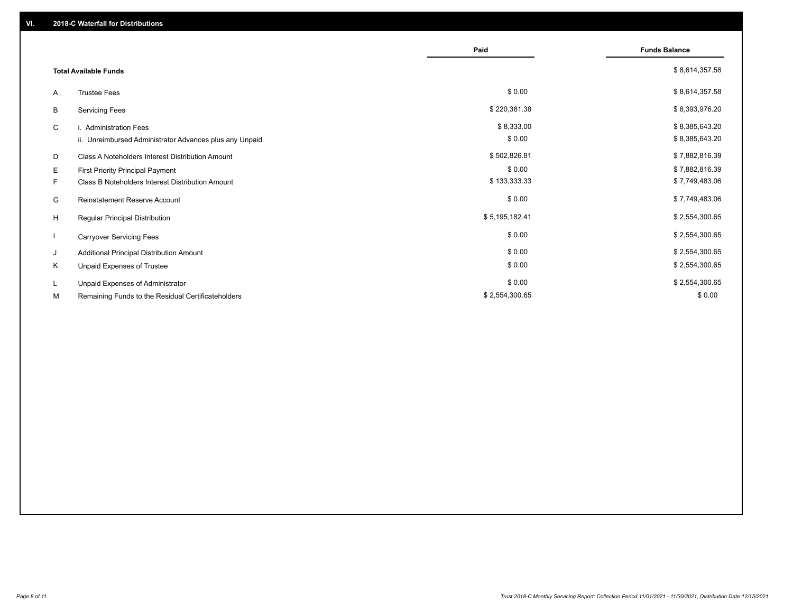|    |                                                         | Paid           | <b>Funds Balance</b> |
|----|---------------------------------------------------------|----------------|----------------------|
|    | <b>Total Available Funds</b>                            |                | \$8,614,357.58       |
| A  | <b>Trustee Fees</b>                                     | \$0.00         | \$8,614,357.58       |
| В  | <b>Servicing Fees</b>                                   | \$220,381.38   | \$8,393,976.20       |
| C  | i. Administration Fees                                  | \$8,333.00     | \$8,385,643.20       |
|    | ii. Unreimbursed Administrator Advances plus any Unpaid | \$0.00         | \$8,385,643.20       |
| D  | Class A Noteholders Interest Distribution Amount        | \$502,826.81   | \$7,882,816.39       |
| Е  | First Priority Principal Payment                        | \$0.00         | \$7,882,816.39       |
| F. | Class B Noteholders Interest Distribution Amount        | \$133,333.33   | \$7,749,483.06       |
| G  | <b>Reinstatement Reserve Account</b>                    | \$0.00         | \$7,749,483.06       |
| H  | Regular Principal Distribution                          | \$5,195,182.41 | \$2,554,300.65       |
|    | <b>Carryover Servicing Fees</b>                         | \$0.00         | \$2,554,300.65       |
| J  | Additional Principal Distribution Amount                | \$0.00         | \$2,554,300.65       |
| Κ  | Unpaid Expenses of Trustee                              | \$0.00         | \$2,554,300.65       |
| L. | Unpaid Expenses of Administrator                        | \$0.00         | \$2,554,300.65       |
| М  | Remaining Funds to the Residual Certificateholders      | \$2,554,300.65 | \$0.00               |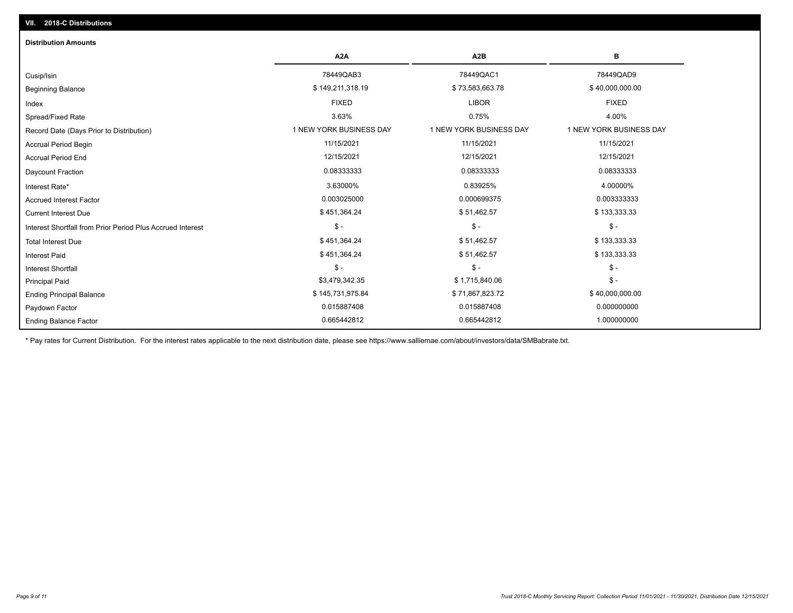| <b>Distribution Amounts</b>                                |                         |                         |                         |
|------------------------------------------------------------|-------------------------|-------------------------|-------------------------|
|                                                            | A <sub>2</sub> A        | A <sub>2</sub> B        | в                       |
| Cusip/Isin                                                 | 78449QAB3               | 78449QAC1               | 78449QAD9               |
| <b>Beginning Balance</b>                                   | \$149,211,318.19        | \$73,583,663.78         | \$40,000,000.00         |
| Index                                                      | <b>FIXED</b>            | <b>LIBOR</b>            | <b>FIXED</b>            |
| Spread/Fixed Rate                                          | 3.63%                   | 0.75%                   | 4.00%                   |
| Record Date (Days Prior to Distribution)                   | 1 NEW YORK BUSINESS DAY | 1 NEW YORK BUSINESS DAY | 1 NEW YORK BUSINESS DAY |
| Accrual Period Begin                                       | 11/15/2021              | 11/15/2021              | 11/15/2021              |
| <b>Accrual Period End</b>                                  | 12/15/2021              | 12/15/2021              | 12/15/2021              |
| Daycount Fraction                                          | 0.08333333              | 0.08333333              | 0.08333333              |
| Interest Rate*                                             | 3.63000%                | 0.83925%                | 4.00000%                |
| <b>Accrued Interest Factor</b>                             | 0.003025000             | 0.000699375             | 0.003333333             |
| <b>Current Interest Due</b>                                | \$451,364.24            | \$51,462.57             | \$133,333.33            |
| Interest Shortfall from Prior Period Plus Accrued Interest | $\mathsf{\$}$ -         | $$ -$                   | $\mathsf{\$}$ -         |
| <b>Total Interest Due</b>                                  | \$451,364.24            | \$51,462.57             | \$133,333.33            |
| <b>Interest Paid</b>                                       | \$451,364.24            | \$51,462.57             | \$133,333.33            |
| <b>Interest Shortfall</b>                                  | $\mathsf{\$}$ -         | $$ -$                   | $$ -$                   |
| <b>Principal Paid</b>                                      | \$3,479,342.35          | \$1,715,840.06          | $$ -$                   |
| <b>Ending Principal Balance</b>                            | \$145,731,975.84        | \$71,867,823.72         | \$40,000,000.00         |
| Paydown Factor                                             | 0.015887408             | 0.015887408             | 0.000000000             |
| <b>Ending Balance Factor</b>                               | 0.665442812             | 0.665442812             | 1.000000000             |

\* Pay rates for Current Distribution. For the interest rates applicable to the next distribution date, please see https://www.salliemae.com/about/investors/data/SMBabrate.txt.

**VII. 2018-C Distributions**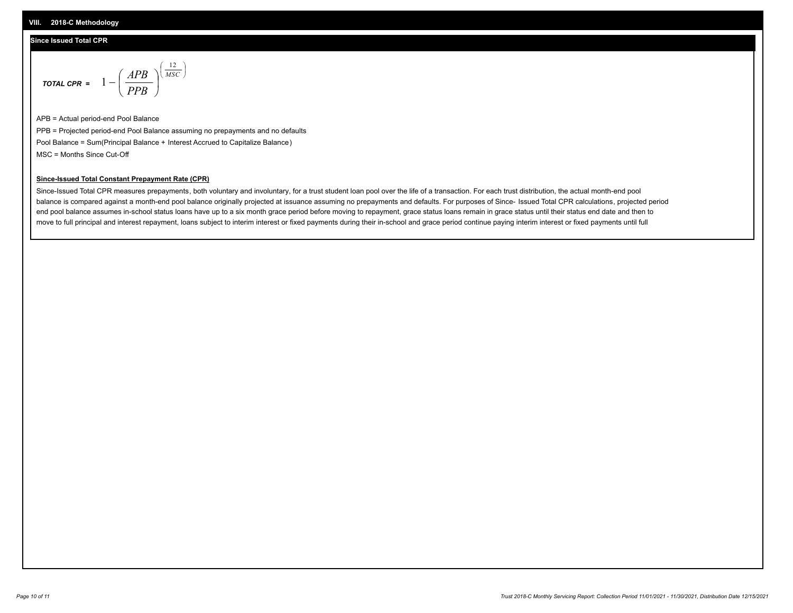# **Since Issued Total CPR**

$$
\text{total cPR} = 1 - \left(\frac{APB}{PPB}\right)^{\left(\frac{12}{MSC}\right)}
$$

APB = Actual period-end Pool Balance PPB = Projected period-end Pool Balance assuming no prepayments and no defaults Pool Balance = Sum(Principal Balance + Interest Accrued to Capitalize Balance) MSC = Months Since Cut-Off

I J Ι

## **Since-Issued Total Constant Prepayment Rate (CPR)**

Since-Issued Total CPR measures prepayments, both voluntary and involuntary, for a trust student loan pool over the life of a transaction. For each trust distribution, the actual month-end pool balance is compared against a month-end pool balance originally projected at issuance assuming no prepayments and defaults. For purposes of Since- Issued Total CPR calculations, projected period end pool balance assumes in-school status loans have up to a six month grace period before moving to repayment, grace status loans remain in grace status until their status end date and then to move to full principal and interest repayment, loans subject to interim interest or fixed payments during their in-school and grace period continue paying interim interest or fixed payments until full